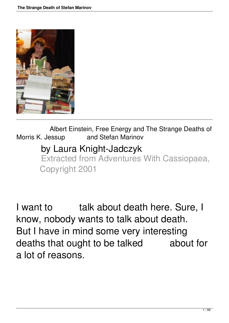

 Albert Einstein, Free Energy and The Strange Deaths of Morris K. Jessup and Stefan Marinov by Laura Knight-Jadczyk Extracted from Adventures With Cassiopaea, Copyright 2001

I want to finity talk about death here. Sure, I know, nobody wants to talk about death. But I have in mind some very interesting deaths that ought to be talked about for a lot of reasons.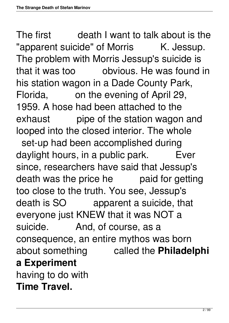The first death I want to talk about is the "apparent suicide" of Morris K. Jessup. The problem with Morris Jessup's suicide is that it was too obvious. He was found in his station wagon in a Dade County Park, Florida, on the evening of April 29, 1959. A hose had been attached to the exhaust pipe of the station wagon and looped into the closed interior. The whole set-up had been accomplished during daylight hours, in a public park. Ever since, researchers have said that Jessup's death was the price he paid for getting too close to the truth. You see, Jessup's death is SO apparent a suicide, that everyone just KNEW that it was NOT a suicide. And, of course, as a consequence, an entire mythos was born about something called the **Philadelphi a Experiment** having to do with **Time Travel.**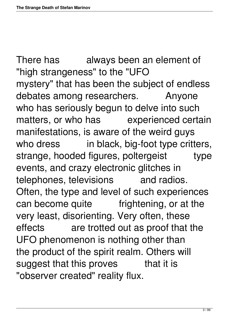There has always been an element of "high strangeness" to the "UFO mystery" that has been the subject of endless debates among researchers. Anyone who has seriously begun to delve into such matters, or who has experienced certain manifestations, is aware of the weird guys who dress in black, big-foot type critters, strange, hooded figures, poltergeist type events, and crazy electronic glitches in telephones, televisions and radios. Often, the type and level of such experiences can become quite frightening, or at the very least, disorienting. Very often, these effects are trotted out as proof that the UFO phenomenon is nothing other than the product of the spirit realm. Others will suggest that this proves that it is "observer created" reality flux.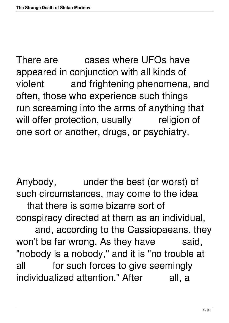There are cases where UFOs have appeared in conjunction with all kinds of violent and frightening phenomena, and often, those who experience such things run screaming into the arms of anything that will offer protection, usually religion of one sort or another, drugs, or psychiatry.

Anybody, under the best (or worst) of such circumstances, may come to the idea that there is some bizarre sort of conspiracy directed at them as an individual, and, according to the Cassiopaeans, they won't be far wrong. As they have said, "nobody is a nobody," and it is "no trouble at all for such forces to give seemingly individualized attention." After all, a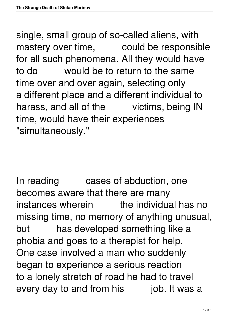single, small group of so-called aliens, with mastery over time, could be responsible for all such phenomena. All they would have to do would be to return to the same time over and over again, selecting only a different place and a different individual to harass, and all of the victims, being IN time, would have their experiences "simultaneously."

In reading cases of abduction, one becomes aware that there are many instances wherein the individual has no missing time, no memory of anything unusual, but has developed something like a phobia and goes to a therapist for help. One case involved a man who suddenly began to experience a serious reaction to a lonely stretch of road he had to travel every day to and from his job. It was a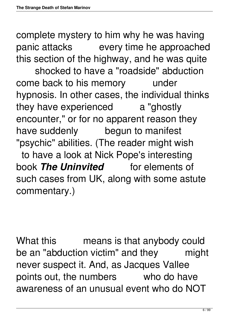complete mystery to him why he was having panic attacks every time he approached this section of the highway, and he was quite

 shocked to have a "roadside" abduction come back to his memory under hypnosis. In other cases, the individual thinks they have experienced a "ghostly encounter," or for no apparent reason they have suddenly begun to manifest "psychic" abilities. (The reader might wish to have a look at Nick Pope's interesting book **The Uninvited** for elements of such cases from UK, along with some astute commentary.)

What this means is that anybody could be an "abduction victim" and they might never suspect it. And, as Jacques Vallee points out, the numbers who do have awareness of an unusual event who do NOT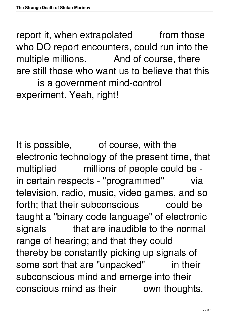report it, when extrapolated from those who DO report encounters, could run into the multiple millions. And of course, there are still those who want us to believe that this is a government mind-control experiment. Yeah, right!

It is possible, of course, with the electronic technology of the present time, that multiplied millions of people could be in certain respects - "programmed" via television, radio, music, video games, and so forth; that their subconscious could be taught a "binary code language" of electronic signals that are inaudible to the normal range of hearing; and that they could thereby be constantly picking up signals of some sort that are "unpacked" in their subconscious mind and emerge into their conscious mind as their own thoughts.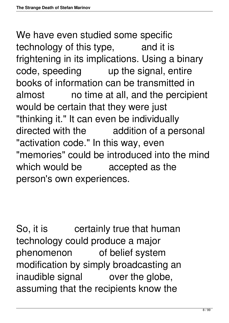We have even studied some specific technology of this type, and it is frightening in its implications. Using a binary code, speeding up the signal, entire books of information can be transmitted in almost no time at all, and the percipient would be certain that they were just "thinking it." It can even be individually directed with the addition of a personal "activation code." In this way, even "memories" could be introduced into the mind which would be accepted as the person's own experiences.

So, it is certainly true that human technology could produce a major phenomenon of belief system modification by simply broadcasting an inaudible signal over the globe, assuming that the recipients know the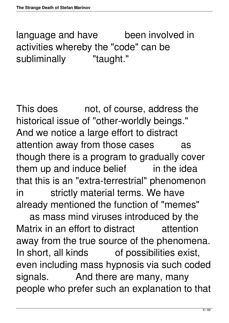language and have been involved in activities whereby the "code" can be subliminally "taught."

This does ent, of course, address the historical issue of "other-worldly beings." And we notice a large effort to distract attention away from those cases as though there is a program to gradually cover them up and induce belief in the idea that this is an "extra-terrestrial" phenomenon in strictly material terms. We have already mentioned the function of "memes"

 as mass mind viruses introduced by the Matrix in an effort to distract attention away from the true source of the phenomena. In short, all kinds of possibilities exist, even including mass hypnosis via such coded signals. And there are many, many people who prefer such an explanation to that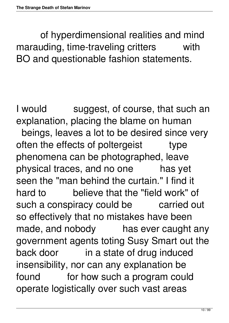of hyperdimensional realities and mind marauding, time-traveling critters with BO and questionable fashion statements.

I would suggest, of course, that such an explanation, placing the blame on human beings, leaves a lot to be desired since very often the effects of poltergeist type phenomena can be photographed, leave physical traces, and no one has yet seen the "man behind the curtain." I find it hard to believe that the "field work" of such a conspiracy could be carried out so effectively that no mistakes have been made, and nobody has ever caught any government agents toting Susy Smart out the back door in a state of drug induced insensibility, nor can any explanation be found for how such a program could operate logistically over such vast areas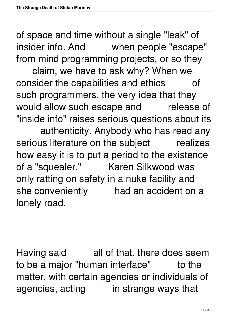of space and time without a single "leak" of insider info. And when people "escape" from mind programming projects, or so they

 claim, we have to ask why? When we consider the capabilities and ethics of such programmers, the very idea that they would allow such escape and release of "inside info" raises serious questions about its authenticity. Anybody who has read any serious literature on the subject realizes how easy it is to put a period to the existence of a "squealer." Karen Silkwood was only ratting on safety in a nuke facility and she conveniently had an accident on a lonely road.

Having said all of that, there does seem to be a major "human interface" to the matter, with certain agencies or individuals of agencies, acting in strange ways that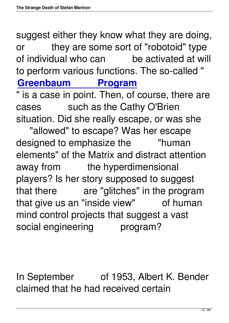suggest either they know what they are doing, or they are some sort of "robotoid" type of individual who can be activated at will to perform various functions. The so-called " **[Greenbaum Program](http://www.cassiopaea.org/cass/greenbaum.htm)**

" is a case in point. Then, of course, there are cases such as the Cathy O'Brien situation. Did she really escape, or was she "allowed" to escape? Was her escape designed to emphasize the "human" elements" of the Matrix and distract attention away from the hyperdimensional players? Is her story supposed to suggest that there are "glitches" in the program that give us an "inside view" of human mind control projects that suggest a vast social engineering program?

In September of 1953, Albert K. Bender claimed that he had received certain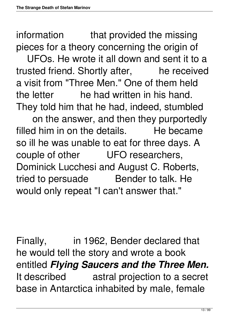information that provided the missing pieces for a theory concerning the origin of

 UFOs. He wrote it all down and sent it to a trusted friend. Shortly after, he received a visit from "Three Men." One of them held the letter he had written in his hand. They told him that he had, indeed, stumbled

 on the answer, and then they purportedly filled him in on the details. He became so ill he was unable to eat for three days. A couple of other UFO researchers, Dominick Lucchesi and August C. Roberts, tried to persuade Bender to talk. He would only repeat "I can't answer that."

Finally, in 1962, Bender declared that he would tell the story and wrote a book entitled *Flying Saucers and the Three Men.* It described astral projection to a secret base in Antarctica inhabited by male, female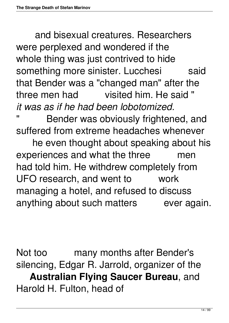and bisexual creatures. Researchers were perplexed and wondered if the whole thing was just contrived to hide something more sinister. Lucchesi said that Bender was a "changed man" after the three men had visited him. He said " *it was as if he had been lobotomized.*

Bender was obviously frightened, and suffered from extreme headaches whenever

 he even thought about speaking about his experiences and what the three men had told him. He withdrew completely from UFO research, and went to work managing a hotel, and refused to discuss anything about such matters ever again.

Not too many months after Bender's silencing, Edgar R. Jarrold, organizer of the **Australian Flying Saucer Bureau**, and Harold H. Fulton, head of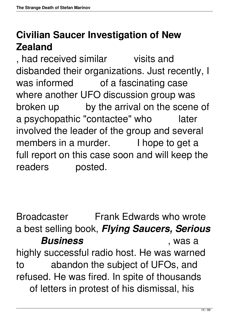# **Civilian Saucer Investigation of New Zealand**

, had received similar visits and disbanded their organizations. Just recently, I was informed of a fascinating case where another UFO discussion group was broken up by the arrival on the scene of a psychopathic "contactee" who later involved the leader of the group and several members in a murder. I hope to get a full report on this case soon and will keep the readers posted.

Broadcaster Frank Edwards who wrote a best selling book, *Flying Saucers, Serious Business* , was a highly successful radio host. He was warned to abandon the subject of UFOs, and refused. He was fired. In spite of thousands of letters in protest of his dismissal, his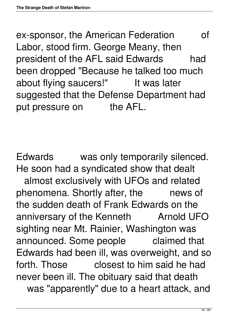ex-sponsor, the American Federation of Labor, stood firm. George Meany, then president of the AFL said Edwards had been dropped "Because he talked too much about flying saucers!" It was later suggested that the Defense Department had put pressure on the AFL.

Edwards was only temporarily silenced. He soon had a syndicated show that dealt almost exclusively with UFOs and related phenomena. Shortly after, the news of the sudden death of Frank Edwards on the anniversary of the Kenneth Arnold UFO sighting near Mt. Rainier, Washington was announced. Some people claimed that Edwards had been ill, was overweight, and so forth. Those closest to him said he had never been ill. The obituary said that death was "apparently" due to a heart attack, and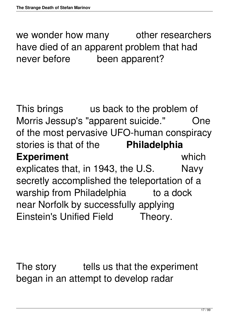we wonder how many other researchers have died of an apparent problem that had never before been apparent?

This brings us back to the problem of Morris Jessup's "apparent suicide." One of the most pervasive UFO-human conspiracy stories is that of the **Philadelphia Experiment** which explicates that, in 1943, the U.S. Navy secretly accomplished the teleportation of a warship from Philadelphia to a dock near Norfolk by successfully applying Einstein's Unified Field Theory.

The story tells us that the experiment began in an attempt to develop radar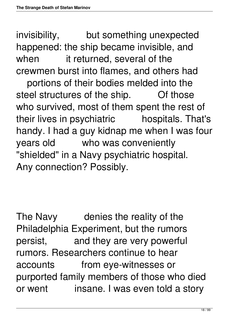invisibility, but something unexpected happened: the ship became invisible, and when it returned, several of the crewmen burst into flames, and others had

 portions of their bodies melded into the steel structures of the ship. Of those who survived, most of them spent the rest of their lives in psychiatric hospitals. That's handy. I had a guy kidnap me when I was four years old who was conveniently "shielded" in a Navy psychiatric hospital. Any connection? Possibly.

The Navy denies the reality of the Philadelphia Experiment, but the rumors persist, and they are very powerful rumors. Researchers continue to hear accounts from eye-witnesses or purported family members of those who died or went insane. I was even told a story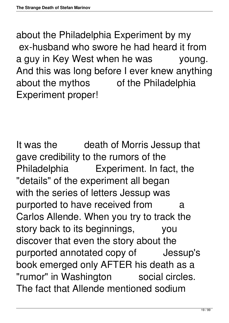about the Philadelphia Experiment by my ex-husband who swore he had heard it from a guy in Key West when he was young. And this was long before I ever knew anything about the mythos of the Philadelphia Experiment proper!

It was the death of Morris Jessup that gave credibility to the rumors of the Philadelphia Experiment. In fact, the "details" of the experiment all began with the series of letters Jessup was purported to have received from a Carlos Allende. When you try to track the story back to its beginnings, you discover that even the story about the purported annotated copy of Jessup's book emerged only AFTER his death as a "rumor" in Washington social circles. The fact that Allende mentioned sodium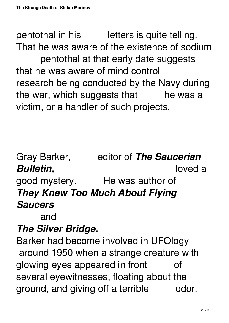pentothal in his letters is quite telling. That he was aware of the existence of sodium pentothal at that early date suggests that he was aware of mind control research being conducted by the Navy during the war, which suggests that he was a victim, or a handler of such projects.

Gray Barker, editor of *The Saucerian Bulletin,* loved a good mystery. He was author of *They Knew Too Much About Flying Saucers*

and

## *The Silver Bridge.*

Barker had become involved in UFOlogy around 1950 when a strange creature with glowing eyes appeared in front of several eyewitnesses, floating about the ground, and giving off a terrible odor.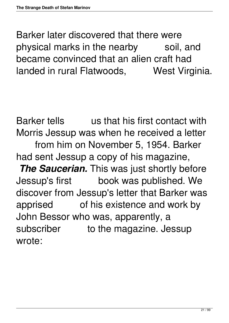Barker later discovered that there were physical marks in the nearby soil, and became convinced that an alien craft had landed in rural Flatwoods, West Virginia.

Barker tells us that his first contact with Morris Jessup was when he received a letter from him on November 5, 1954. Barker had sent Jessup a copy of his magazine, **The Saucerian.** This was just shortly before Jessup's first book was published. We discover from Jessup's letter that Barker was apprised of his existence and work by John Bessor who was, apparently, a subscriber to the magazine. Jessup wrote: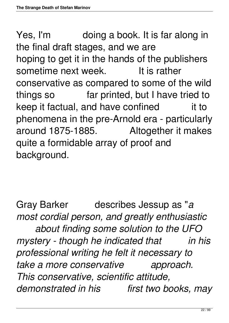Yes, I'm doing a book. It is far along in the final draft stages, and we are hoping to get it in the hands of the publishers sometime next week. It is rather conservative as compared to some of the wild things so far printed, but I have tried to keep it factual, and have confined it to phenomena in the pre-Arnold era - particularly around 1875-1885. Altogether it makes quite a formidable array of proof and background.

Gray Barker describes Jessup as "*a most cordial person, and greatly enthusiastic about finding some solution to the UFO mystery - though he indicated that in his professional writing he felt it necessary to take a more conservative approach. This conservative, scientific attitude, demonstrated in his first two books, may*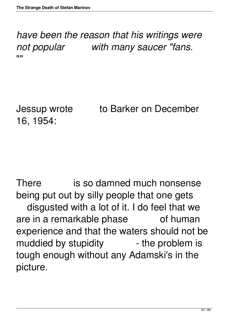*have been the reason that his writings were not popular with many saucer "fans.* ""<br>"

16, 1954:

Jessup wrote to Barker on December

There is so damned much nonsense being put out by silly people that one gets disgusted with a lot of it. I do feel that we are in a remarkable phase of human experience and that the waters should not be muddied by stupidity and the problem is tough enough without any Adamski's in the picture.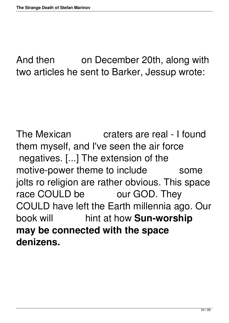And then on December 20th, along with two articles he sent to Barker, Jessup wrote:

The Mexican craters are real - I found them myself, and I've seen the air force negatives. [...] The extension of the motive-power theme to include some jolts ro religion are rather obvious. This space race COULD be our GOD. They COULD have left the Earth millennia ago. Our book will hint at how **Sun-worship may be connected with the space denizens.**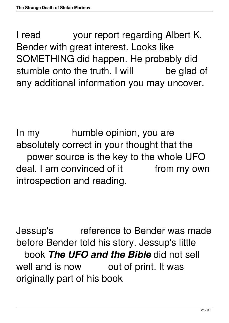I read your report regarding Albert K. Bender with great interest. Looks like SOMETHING did happen. He probably did stumble onto the truth. I will be glad of any additional information you may uncover.

In my bumble opinion, you are absolutely correct in your thought that the power source is the key to the whole UFO deal. I am convinced of it from my own introspection and reading.

Jessup's reference to Bender was made before Bender told his story. Jessup's little book *The UFO and the Bible* did not sell well and is now out of print. It was originally part of his book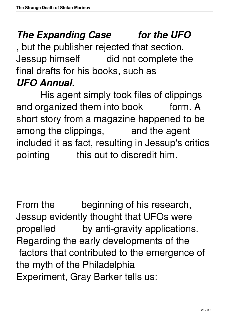# **The Expanding Case for the UFO**

, but the publisher rejected that section. Jessup himself did not complete the final drafts for his books, such as *UFO Annual.*

 His agent simply took files of clippings and organized them into book form. A short story from a magazine happened to be among the clippings, and the agent included it as fact, resulting in Jessup's critics pointing this out to discredit him.

From the beginning of his research, Jessup evidently thought that UFOs were propelled by anti-gravity applications. Regarding the early developments of the factors that contributed to the emergence of the myth of the Philadelphia Experiment, Gray Barker tells us: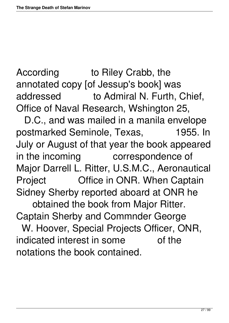According to Riley Crabb, the annotated copy [of Jessup's book] was addressed to Admiral N. Furth, Chief, Office of Naval Research, Wshington 25,

 D.C., and was mailed in a manila envelope postmarked Seminole, Texas, 1955. In July or August of that year the book appeared in the incoming correspondence of Major Darrell L. Ritter, U.S.M.C., Aeronautical Project **Office in ONR. When Captain** Sidney Sherby reported aboard at ONR he obtained the book from Major Ritter. Captain Sherby and Commnder George W. Hoover, Special Projects Officer, ONR, indicated interest in some of the notations the book contained.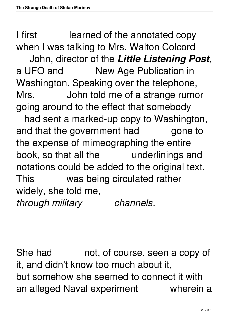I first learned of the annotated copy when I was talking to Mrs. Walton Colcord

 John, director of the *Little Listening Post*, a UFO and New Age Publication in Washington. Speaking over the telephone, Mrs. John told me of a strange rumor going around to the effect that somebody

 had sent a marked-up copy to Washington, and that the government had gone to the expense of mimeographing the entire book, so that all the underlinings and notations could be added to the original text. This was being circulated rather widely, she told me, *through military channels.*

She had hot, of course, seen a copy of it, and didn't know too much about it, but somehow she seemed to connect it with an alleged Naval experiment wherein a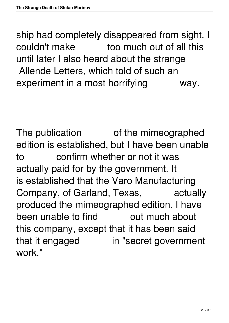ship had completely disappeared from sight. I couldn't make too much out of all this until later I also heard about the strange Allende Letters, which told of such an experiment in a most horrifying way.

The publication of the mimeographed edition is established, but I have been unable to confirm whether or not it was actually paid for by the government. It is established that the Varo Manufacturing Company, of Garland, Texas, actually produced the mimeographed edition. I have been unable to find bout much about this company, except that it has been said that it engaged in "secret government work."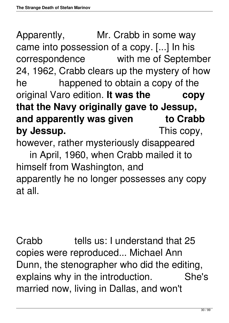Apparently, Mr. Crabb in some way came into possession of a copy. [...] In his correspondence with me of September 24, 1962, Crabb clears up the mystery of how he happened to obtain a copy of the original Varo edition. **It was the copy that the Navy originally gave to Jessup,** and apparently was given to Crabb by **Jessup.** This copy, however, rather mysteriously disappeared in April, 1960, when Crabb mailed it to himself from Washington, and apparently he no longer possesses any copy at all.

Crabb tells us: I understand that 25 copies were reproduced... Michael Ann Dunn, the stenographer who did the editing, explains why in the introduction. She's married now, living in Dallas, and won't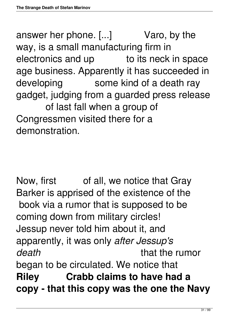answer her phone. [...] Varo, by the way, is a small manufacturing firm in electronics and up to its neck in space age business. Apparently it has succeeded in developing some kind of a death ray gadget, judging from a guarded press release of last fall when a group of Congressmen visited there for a demonstration.

Now, first of all, we notice that Gray Barker is apprised of the existence of the book via a rumor that is supposed to be coming down from military circles! Jessup never told him about it, and apparently, it was only *after Jessup's death* that the rumor began to be circulated. We notice that **Riley Crabb claims to have had a copy - that this copy was the one the Navy**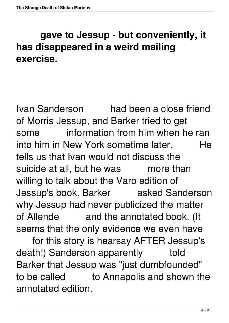## **gave to Jessup - but conveniently, it has disappeared in a weird mailing exercise.**

Ivan Sanderson had been a close friend of Morris Jessup, and Barker tried to get some information from him when he ran into him in New York sometime later. He tells us that Ivan would not discuss the suicide at all, but he was more than willing to talk about the Varo edition of Jessup's book. Barker asked Sanderson why Jessup had never publicized the matter of Allende and the annotated book. (It seems that the only evidence we even have

 for this story is hearsay AFTER Jessup's death!) Sanderson apparently told Barker that Jessup was "just dumbfounded" to be called to Annapolis and shown the annotated edition.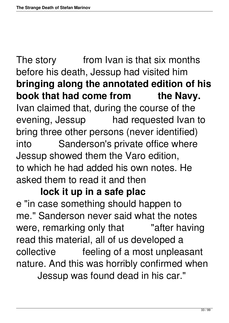The story from Ivan is that six months before his death, Jessup had visited him **bringing along the annotated edition of his** book that had come from the Navy. Ivan claimed that, during the course of the evening, Jessup had requested Ivan to bring three other persons (never identified) into Sanderson's private office where Jessup showed them the Varo edition, to which he had added his own notes. He asked them to read it and then

#### **lock it up in a safe plac**

e "in case something should happen to me." Sanderson never said what the notes were, remarking only that Tafter having read this material, all of us developed a collective feeling of a most unpleasant nature. And this was horribly confirmed when Jessup was found dead in his car."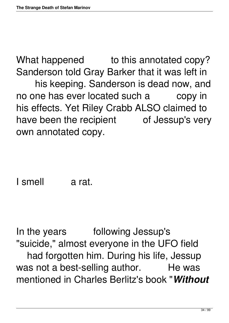What happened to this annotated copy? Sanderson told Gray Barker that it was left in his keeping. Sanderson is dead now, and no one has ever located such a copy in his effects. Yet Riley Crabb ALSO claimed to have been the recipient of Jessup's very own annotated copy.

I smell a rat.

In the years following Jessup's "suicide," almost everyone in the UFO field had forgotten him. During his life, Jessup was not a best-selling author. He was mentioned in Charles Berlitz's book "*Without*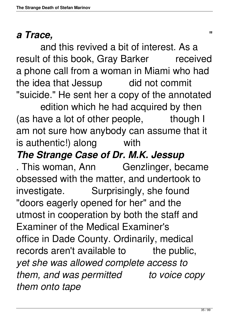#### *a Trace,* "

 and this revived a bit of interest. As a result of this book, Gray Barker received a phone call from a woman in Miami who had the idea that Jessup did not commit "suicide." He sent her a copy of the annotated

 edition which he had acquired by then (as have a lot of other people, though I am not sure how anybody can assume that it is authentic!) along with

### *The Strange Case of Dr. M.K. Jessup*

. This woman, Ann Genzlinger, became obsessed with the matter, and undertook to investigate. Surprisingly, she found "doors eagerly opened for her" and the utmost in cooperation by both the staff and Examiner of the Medical Examiner's office in Dade County. Ordinarily, medical records aren't available to the public, *yet she was allowed complete access to them, and was permitted to voice copy them onto tape*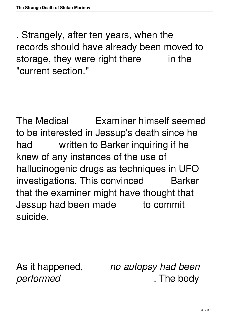. Strangely, after ten years, when the records should have already been moved to storage, they were right there in the "current section."

The Medical Examiner himself seemed to be interested in Jessup's death since he had written to Barker inquiring if he knew of any instances of the use of hallucinogenic drugs as techniques in UFO investigations. This convinced Barker that the examiner might have thought that Jessup had been made to commit suicide.

As it happened, *no autopsy had been performed* . The body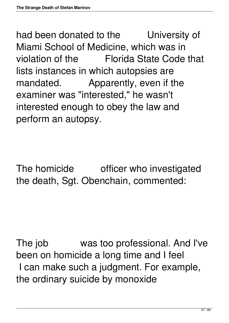had been donated to the University of Miami School of Medicine, which was in violation of the Florida State Code that lists instances in which autopsies are mandated. Apparently, even if the examiner was "interested," he wasn't interested enough to obey the law and perform an autopsy.

The homicide officer who investigated the death, Sgt. Obenchain, commented:

The job was too professional. And I've been on homicide a long time and I feel I can make such a judgment. For example, the ordinary suicide by monoxide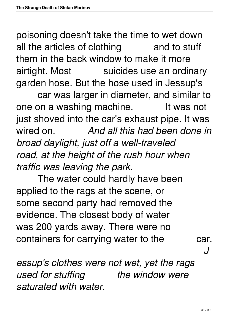poisoning doesn't take the time to wet down all the articles of clothing and to stuff them in the back window to make it more airtight. Most suicides use an ordinary garden hose. But the hose used in Jessup's

 car was larger in diameter, and similar to one on a washing machine. It was not just shoved into the car's exhaust pipe. It was wired on. *And all this had been done in broad daylight, just off a well-traveled road, at the height of the rush hour when traffic was leaving the park.*

 The water could hardly have been applied to the rags at the scene, or some second party had removed the evidence. The closest body of water was 200 yards away. There were no containers for carrying water to the car.

*J*

*essup's clothes were not wet, yet the rags used for stuffing the window were saturated with water.*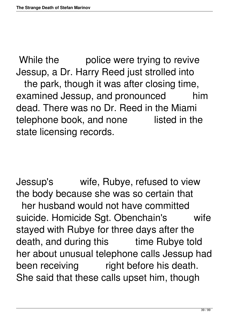While the police were trying to revive Jessup, a Dr. Harry Reed just strolled into the park, though it was after closing time, examined Jessup, and pronounced him dead. There was no Dr. Reed in the Miami telephone book, and none listed in the state licensing records.

Jessup's wife, Rubye, refused to view the body because she was so certain that her husband would not have committed suicide. Homicide Sgt. Obenchain's wife stayed with Rubye for three days after the death, and during this time Rubye told her about unusual telephone calls Jessup had been receiving right before his death. She said that these calls upset him, though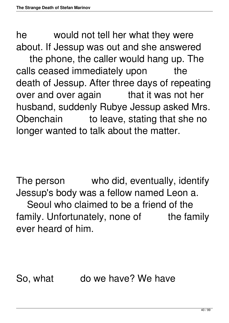he would not tell her what they were about. If Jessup was out and she answered

 the phone, the caller would hang up. The calls ceased immediately upon the death of Jessup. After three days of repeating over and over again that it was not her husband, suddenly Rubye Jessup asked Mrs. Obenchain to leave, stating that she no longer wanted to talk about the matter.

The person who did, eventually, identify Jessup's body was a fellow named Leon a. Seoul who claimed to be a friend of the family. Unfortunately, none of the family ever heard of him.

So, what do we have? We have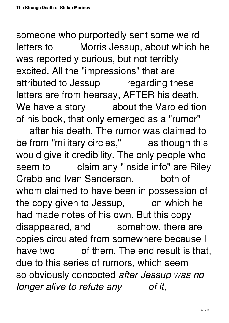someone who purportedly sent some weird letters to Morris Jessup, about which he was reportedly curious, but not terribly excited. All the "impressions" that are attributed to Jessup regarding these letters are from hearsay, AFTER his death. We have a story about the Varo edition of his book, that only emerged as a "rumor" after his death. The rumor was claimed to be from "military circles," as though this would give it credibility. The only people who seem to claim any "inside info" are Riley Crabb and Ivan Sanderson, both of whom claimed to have been in possession of the copy given to Jessup, on which he had made notes of his own. But this copy disappeared, and somehow, there are copies circulated from somewhere because I have two of them. The end result is that, due to this series of rumors, which seem so obviously concocted *after Jessup was no longer alive to refute any of it,*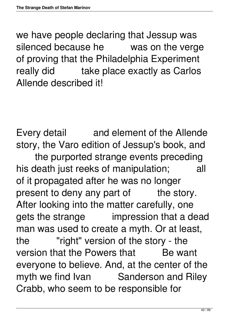we have people declaring that Jessup was silenced because he was on the verge of proving that the Philadelphia Experiment really did take place exactly as Carlos Allende described it!

Every detail and element of the Allende story, the Varo edition of Jessup's book, and the purported strange events preceding his death just reeks of manipulation; all of it propagated after he was no longer present to deny any part of the story. After looking into the matter carefully, one gets the strange impression that a dead man was used to create a myth. Or at least, the "right" version of the story - the version that the Powers that Be want everyone to believe. And, at the center of the myth we find Ivan Sanderson and Riley Crabb, who seem to be responsible for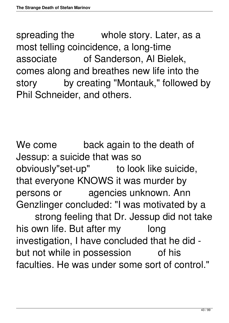spreading the whole story. Later, as a most telling coincidence, a long-time associate of Sanderson, Al Bielek, comes along and breathes new life into the story by creating "Montauk," followed by Phil Schneider, and others.

We come back again to the death of Jessup: a suicide that was so obviously"set-up" to look like suicide, that everyone KNOWS it was murder by persons or agencies unknown. Ann Genzlinger concluded: "I was motivated by a strong feeling that Dr. Jessup did not take his own life. But after my long investigation, I have concluded that he did -

but not while in possession of his faculties. He was under some sort of control."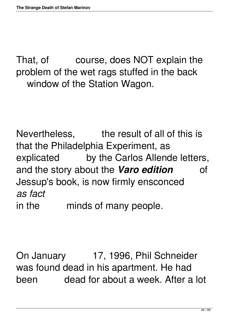That, of course, does NOT explain the problem of the wet rags stuffed in the back window of the Station Wagon.

Nevertheless, the result of all of this is that the Philadelphia Experiment, as explicated by the Carlos Allende letters, and the story about the *Varo edition* of Jessup's book, is now firmly ensconced *as fact* in the minds of many people.

On January 17, 1996, Phil Schneider was found dead in his apartment. He had been dead for about a week. After a lot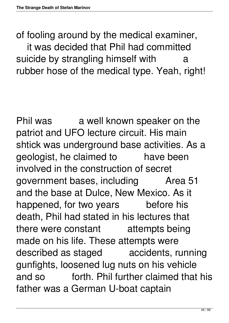of fooling around by the medical examiner, it was decided that Phil had committed suicide by strangling himself with a rubber hose of the medical type. Yeah, right!

Phil was a well known speaker on the patriot and UFO lecture circuit. His main shtick was underground base activities. As a geologist, he claimed to have been involved in the construction of secret government bases, including Area 51 and the base at Dulce, New Mexico. As it happened, for two years before his death, Phil had stated in his lectures that there were constant attempts being made on his life. These attempts were described as staged accidents, running gunfights, loosened lug nuts on his vehicle and so forth. Phil further claimed that his father was a German U-boat captain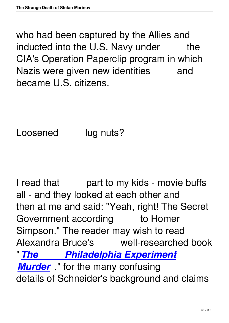who had been captured by the Allies and inducted into the U.S. Navy under the CIA's Operation Paperclip program in which Nazis were given new identities and became U.S. citizens.

Loosened lug nuts?

I read that part to my kids - movie buffs all - and they looked at each other and then at me and said: "Yeah, right! The Secret Government according to Homer Simpson." The reader may wish to read Alexandra Bruce's well-researched book "*[The Philadelphia Experiment](http://www.amazon.com/exec/obidos/ASIN/096318895X/cassiopaea)* **[Murder](http://www.amazon.com/exec/obidos/ASIN/096318895X/cassiopaea)**," for the many confusing details of Schneider's background and claims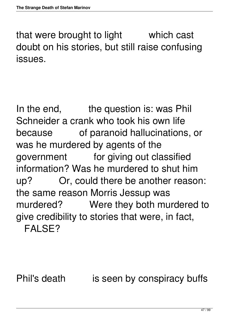that were brought to light which cast doubt on his stories, but still raise confusing issues.

In the end, the question is: was Phil Schneider a crank who took his own life because of paranoid hallucinations, or was he murdered by agents of the government for giving out classified information? Was he murdered to shut him up? Or, could there be another reason: the same reason Morris Jessup was murdered? Were they both murdered to give credibility to stories that were, in fact, FALSE?

Phil's death is seen by conspiracy buffs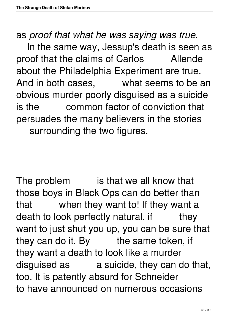as *proof that what he was saying was true*.

 In the same way, Jessup's death is seen as proof that the claims of Carlos Allende about the Philadelphia Experiment are true. And in both cases, what seems to be an obvious murder poorly disguised as a suicide is the common factor of conviction that persuades the many believers in the stories surrounding the two figures.

The problem is that we all know that those boys in Black Ops can do better than that when they want to! If they want a death to look perfectly natural, if they want to just shut you up, you can be sure that they can do it. By the same token, if they want a death to look like a murder disguised as a suicide, they can do that, too. It is patently absurd for Schneider to have announced on numerous occasions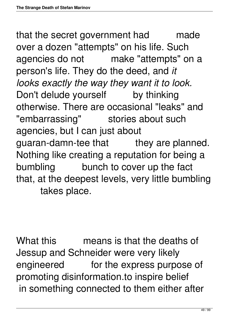that the secret government had made over a dozen "attempts" on his life. Such agencies do not make "attempts" on a person's life. They do the deed, and *it looks exactly the way they want it to look.* Don't delude yourself by thinking otherwise. There are occasional "leaks" and "embarrassing" stories about such agencies, but I can just about guaran-damn-tee that they are planned. Nothing like creating a reputation for being a bumbling bunch to cover up the fact that, at the deepest levels, very little bumbling takes place.

What this means is that the deaths of Jessup and Schneider were very likely engineered for the express purpose of promoting disinformation.to inspire belief in something connected to them either after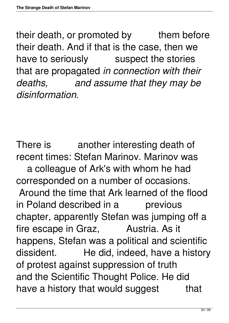their death, or promoted by them before their death. And if that is the case, then we have to seriously suspect the stories that are propagated *in connection with their deaths, and assume that they may be disinformation.*

There is another interesting death of recent times: Stefan Marinov. Marinov was a colleague of Ark's with whom he had corresponded on a number of occasions. Around the time that Ark learned of the flood in Poland described in a previous chapter, apparently Stefan was jumping off a fire escape in Graz, Austria. As it happens, Stefan was a political and scientific dissident. He did, indeed, have a history of protest against suppression of truth and the Scientific Thought Police. He did have a history that would suggest that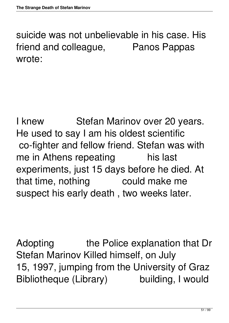suicide was not unbelievable in his case. His friend and colleague, Panos Pappas wrote:

I knew Stefan Marinov over 20 years. He used to say I am his oldest scientific co-fighter and fellow friend. Stefan was with me in Athens repeating his last experiments, just 15 days before he died. At that time, nothing could make me suspect his early death , two weeks later.

Adopting the Police explanation that Dr Stefan Marinov Killed himself, on July 15, 1997, jumping from the University of Graz Bibliotheque (Library) building, I would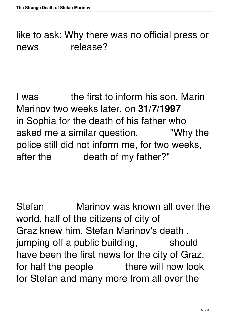like to ask: Why there was no official press or news release?

I was the first to inform his son, Marin Marinov two weeks later, on **31/7/1997** in Sophia for the death of his father who asked me a similar question. "Why the police still did not inform me, for two weeks, after the death of my father?"

Stefan Marinov was known all over the world, half of the citizens of city of Graz knew him. Stefan Marinov's death , jumping off a public building, should have been the first news for the city of Graz, for half the people there will now look for Stefan and many more from all over the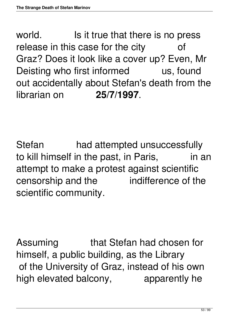world. Is it true that there is no press release in this case for the city of Graz? Does it look like a cover up? Even, Mr Deisting who first informed us, found out accidentally about Stefan's death from the librarian on **25/7/1997**.

Stefan had attempted unsuccessfully to kill himself in the past, in Paris, in an attempt to make a protest against scientific censorship and the indifference of the scientific community.

Assuming that Stefan had chosen for himself, a public building, as the Library of the University of Graz, instead of his own high elevated balcony, apparently he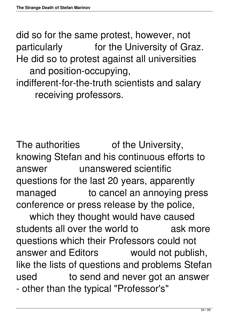did so for the same protest, however, not particularly for the University of Graz. He did so to protest against all universities and position-occupying,

indifferent-for-the-truth scientists and salary receiving professors.

The authorities of the University, knowing Stefan and his continuous efforts to answer unanswered scientific questions for the last 20 years, apparently managed to cancel an annoying press conference or press release by the police,

 which they thought would have caused students all over the world to ask more questions which their Professors could not answer and Editors would not publish, like the lists of questions and problems Stefan used to send and never got an answer - other than the typical "Professor's"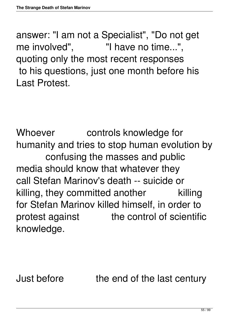answer: "I am not a Specialist", "Do not get me involved", Thave no time...", quoting only the most recent responses to his questions, just one month before his Last Protest.

Whoever controls knowledge for humanity and tries to stop human evolution by confusing the masses and public media should know that whatever they call Stefan Marinov's death -- suicide or killing, they committed another killing for Stefan Marinov killed himself, in order to protest against the control of scientific knowledge.

Just before the end of the last century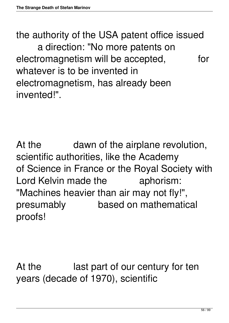the authority of the USA patent office issued a direction: "No more patents on electromagnetism will be accepted, for whatever is to be invented in electromagnetism, has already been invented!".

At the dawn of the airplane revolution, scientific authorities, like the Academy of Science in France or the Royal Society with Lord Kelvin made the aphorism: "Machines heavier than air may not fly!", presumably based on mathematical proofs!

At the last part of our century for ten years (decade of 1970), scientific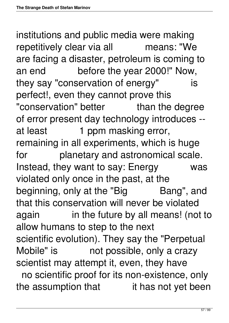institutions and public media were making repetitively clear via all means: "We are facing a disaster, petroleum is coming to an end before the year 2000!" Now, they say "conservation of energy" is perfect!, even they cannot prove this "conservation" better than the degree of error present day technology introduces - at least 1 ppm masking error, remaining in all experiments, which is huge for planetary and astronomical scale. Instead, they want to say: Energy was violated only once in the past, at the beginning, only at the "Big Bang", and that this conservation will never be violated again in the future by all means! (not to allow humans to step to the next scientific evolution). They say the "Perpetual Mobile" is not possible, only a crazy scientist may attempt it, even, they have no scientific proof for its non-existence, only the assumption that it has not yet been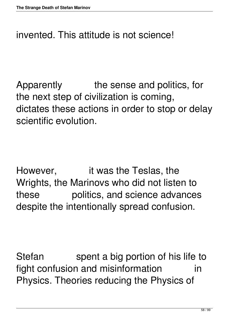#### invented. This attitude is not science!

Apparently the sense and politics, for the next step of civilization is coming, dictates these actions in order to stop or delay scientific evolution.

However, it was the Teslas, the Wrights, the Marinovs who did not listen to these politics, and science advances despite the intentionally spread confusion.

Stefan spent a big portion of his life to fight confusion and misinformation in Physics. Theories reducing the Physics of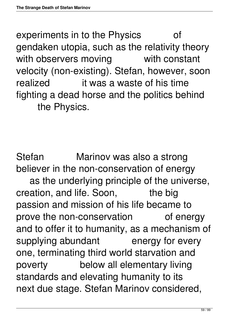experiments in to the Physics of gendaken utopia, such as the relativity theory with observers moving with constant velocity (non-existing). Stefan, however, soon realized it was a waste of his time fighting a dead horse and the politics behind the Physics.

Stefan Marinov was also a strong believer in the non-conservation of energy as the underlying principle of the universe, creation, and life. Soon, the big passion and mission of his life became to prove the non-conservation of energy and to offer it to humanity, as a mechanism of supplying abundant energy for every one, terminating third world starvation and poverty below all elementary living standards and elevating humanity to its next due stage. Stefan Marinov considered,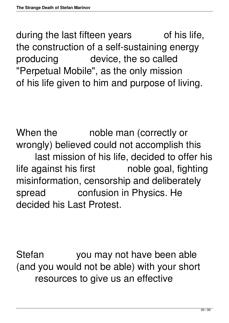during the last fifteen years of his life, the construction of a self-sustaining energy producing device, the so called "Perpetual Mobile", as the only mission of his life given to him and purpose of living.

When the moble man (correctly or wrongly) believed could not accomplish this last mission of his life, decided to offer his life against his first noble goal, fighting misinformation, censorship and deliberately spread confusion in Physics. He decided his Last Protest.

Stefan you may not have been able (and you would not be able) with your short resources to give us an effective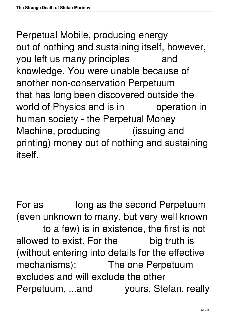Perpetual Mobile, producing energy out of nothing and sustaining itself, however, you left us many principles and knowledge. You were unable because of another non-conservation Perpetuum that has long been discovered outside the world of Physics and is in operation in human society - the Perpetual Money Machine, producing (issuing and printing) money out of nothing and sustaining itself.

For as long as the second Perpetuum (even unknown to many, but very well known to a few) is in existence, the first is not allowed to exist. For the big truth is (without entering into details for the effective mechanisms): The one Perpetuum excludes and will exclude the other Perpetuum, ...and yours, Stefan, really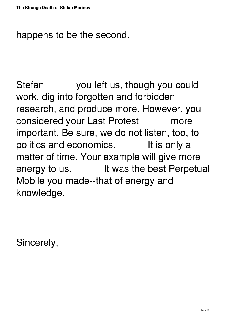happens to be the second.

Stefan you left us, though you could work, dig into forgotten and forbidden research, and produce more. However, you considered your Last Protest more important. Be sure, we do not listen, too, to politics and economics. It is only a matter of time. Your example will give more energy to us. It was the best Perpetual Mobile you made--that of energy and knowledge.

Sincerely,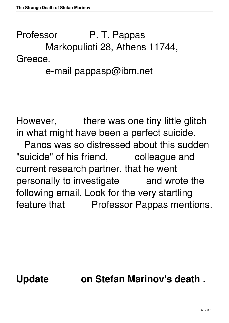# Professor P. T. Pappas Markopulioti 28, Athens 11744, Greece.

## e-mail pappasp@ibm.net

However, there was one tiny little glitch in what might have been a perfect suicide. Panos was so distressed about this sudden "suicide" of his friend, colleague and current research partner, that he went personally to investigate and wrote the following email. Look for the very startling feature that Professor Pappas mentions.

## **Update on Stefan Marinov's death .**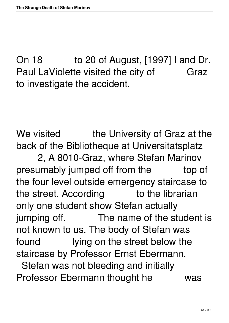On 18 to 20 of August, [1997] I and Dr. Paul LaViolette visited the city of Graz to investigate the accident.

We visited the University of Graz at the back of the Bibliotheque at Universitatsplatz

 2, A 8010-Graz, where Stefan Marinov presumably jumped off from the top of the four level outside emergency staircase to the street. According to the librarian only one student show Stefan actually jumping off. The name of the student is not known to us. The body of Stefan was found lying on the street below the staircase by Professor Ernst Ebermann. Stefan was not bleeding and initially Professor Ebermann thought he was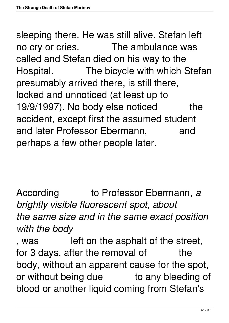sleeping there. He was still alive. Stefan left no cry or cries. The ambulance was called and Stefan died on his way to the Hospital. The bicycle with which Stefan presumably arrived there, is still there, locked and unnoticed (at least up to 19/9/1997). No body else noticed the accident, except first the assumed student and later Professor Ebermann, and perhaps a few other people later.

According to Professor Ebermann, *a brightly visible fluorescent spot, about the same size and in the same exact position with the body*

, was left on the asphalt of the street, for 3 days, after the removal of the body, without an apparent cause for the spot, or without being due to any bleeding of blood or another liquid coming from Stefan's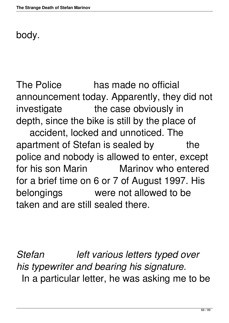### body.

The Police has made no official announcement today. Apparently, they did not investigate the case obviously in depth, since the bike is still by the place of accident, locked and unnoticed. The apartment of Stefan is sealed by the police and nobody is allowed to enter, except for his son Marin Marinov who entered for a brief time on 6 or 7 of August 1997. His belongings were not allowed to be taken and are still sealed there.

*Stefan left various letters typed over his typewriter and bearing his signature.* In a particular letter, he was asking me to be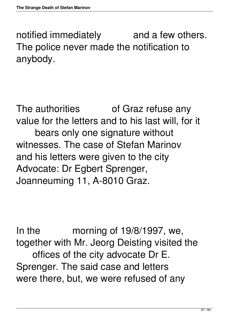notified immediately and a few others. The police never made the notification to anybody.

The authorities of Graz refuse any value for the letters and to his last will, for it bears only one signature without witnesses. The case of Stefan Marinov and his letters were given to the city Advocate: Dr Egbert Sprenger, Joanneuming 11, A-8010 Graz.

In the morning of 19/8/1997, we, together with Mr. Jeorg Deisting visited the offices of the city advocate Dr E. Sprenger. The said case and letters were there, but, we were refused of any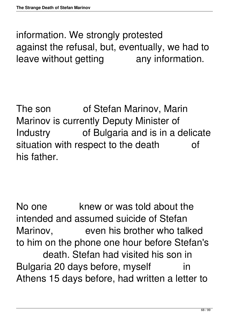information. We strongly protested against the refusal, but, eventually, we had to leave without getting any information.

The son of Stefan Marinov, Marin Marinov is currently Deputy Minister of Industry of Bulgaria and is in a delicate situation with respect to the death of his father.

No one **Knew or was told about the** intended and assumed suicide of Stefan Marinov, even his brother who talked to him on the phone one hour before Stefan's death. Stefan had visited his son in Bulgaria 20 days before, myself in Athens 15 days before, had written a letter to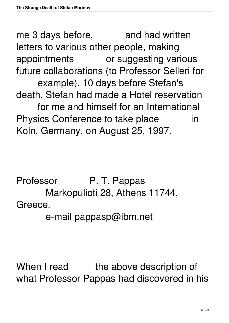me 3 days before, and had written letters to various other people, making appointments or suggesting various future collaborations (to Professor Selleri for example). 10 days before Stefan's death, Stefan had made a Hotel reservation for me and himself for an International Physics Conference to take place in Koln, Germany, on August 25, 1997.

Professor P. T. Pappas Markopulioti 28, Athens 11744, Greece.

e-mail pappasp@ibm.net

When I read the above description of what Professor Pappas had discovered in his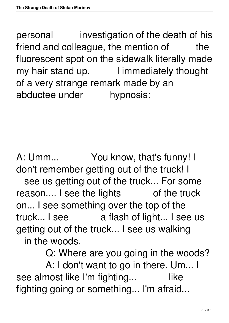personal investigation of the death of his friend and colleague, the mention of the fluorescent spot on the sidewalk literally made my hair stand up. I immediately thought of a very strange remark made by an abductee under hypnosis:

A: Umm... You know, that's funny! I don't remember getting out of the truck! I see us getting out of the truck... For some reason.... I see the lights of the truck on... I see something over the top of the truck... I see a flash of light... I see us getting out of the truck... I see us walking in the woods.

Q: Where are you going in the woods?

 A: I don't want to go in there. Um... I see almost like I'm fighting... like fighting going or something... I'm afraid...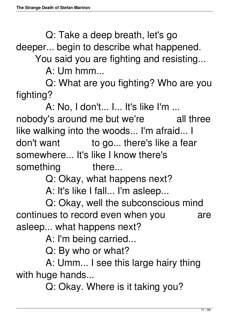Q: Take a deep breath, let's go

deeper... begin to describe what happened.

You said you are fighting and resisting...

 $A:$  I Jm hmm

 Q: What are you fighting? Who are you fighting?

A: No, I don't... I... It's like I'm ...

nobody's around me but we're all three like walking into the woods... I'm afraid... I don't want to go... there's like a fear somewhere... It's like I know there's something there...

Q: Okay, what happens next?

A: It's like I fall... I'm asleep...

 Q: Okay, well the subconscious mind continues to record even when you are asleep... what happens next?

A: I'm being carried...

Q: By who or what?

 A: Umm... I see this large hairy thing with huge hands...

Q: Okay. Where is it taking you?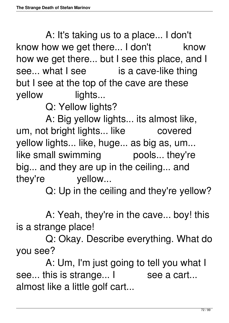A: It's taking us to a place... I don't know how we get there... I don't know how we get there... but I see this place, and I see... what I see is a cave-like thing but I see at the top of the cave are these yellow lights...

Q: Yellow lights?

 A: Big yellow lights... its almost like, um, not bright lights... like covered yellow lights... like, huge... as big as, um... like small swimming pools... they're big... and they are up in the ceiling... and they're yellow...

Q: Up in the ceiling and they're yellow?

 A: Yeah, they're in the cave... boy! this is a strange place!

 Q: Okay. Describe everything. What do you see?

 A: Um, I'm just going to tell you what I see... this is strange... I see a cart... almost like a little golf cart...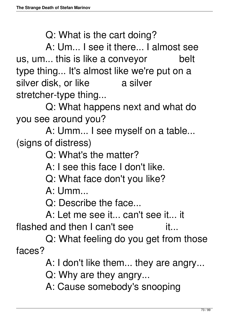Q: What is the cart doing?

 A: Um... I see it there... I almost see us, um... this is like a conveyor belt type thing... It's almost like we're put on a silver disk, or like a silver stretcher-type thing...

 Q: What happens next and what do you see around you?

 A: Umm... I see myself on a table... (signs of distress)

Q: What's the matter?

A: I see this face I don't like.

Q: What face don't you like?

A: Umm...

Q: Describe the face...

A: Let me see it... can't see it... it

flashed and then I can't see it...

 Q: What feeling do you get from those faces?

A: I don't like them... they are angry...

Q: Why are they angry...

A: Cause somebody's snooping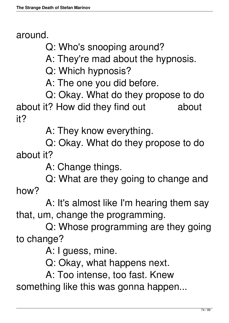around.

Q: Who's snooping around?

A: They're mad about the hypnosis.

Q: Which hypnosis?

A: The one you did before.

 Q: Okay. What do they propose to do about it? How did they find out about it?

A: They know everything.

 Q: Okay. What do they propose to do about it?

A: Change things.

 Q: What are they going to change and how?

 A: It's almost like I'm hearing them say that, um, change the programming.

 Q: Whose programming are they going to change?

A: I guess, mine.

Q: Okay, what happens next.

A: Too intense, too fast. Knew

something like this was gonna happen...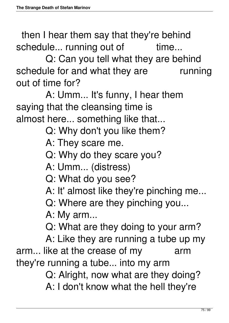then I hear them say that they're behind schedule... running out of time...

 Q: Can you tell what they are behind schedule for and what they are running out of time for?

 A: Umm... It's funny, I hear them saying that the cleansing time is almost here... something like that...

- Q: Why don't you like them?
- A: They scare me.
- Q: Why do they scare you?
- A: Umm... (distress)
- Q: What do you see?
- A: It' almost like they're pinching me...
- Q: Where are they pinching you...
- A: My arm...
- Q: What are they doing to your arm?

 A: Like they are running a tube up my arm... like at the crease of my arm they're running a tube... into my arm

Q: Alright, now what are they doing?

A: I don't know what the hell they're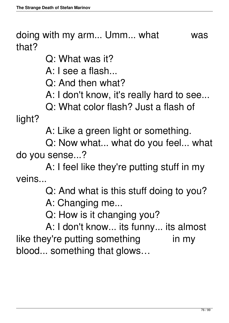doing with my arm... Umm... what was that?

Q: What was it?

A: I see a flash...

Q: And then what?

A: I don't know, it's really hard to see...

Q: What color flash? Just a flash of

light?

A: Like a green light or something.

 Q: Now what... what do you feel... what do you sense...?

 A: I feel like they're putting stuff in my veins...

Q: And what is this stuff doing to you?

A: Changing me...

Q: How is it changing you?

 A: I don't know... its funny... its almost like they're putting something in my blood... something that glows…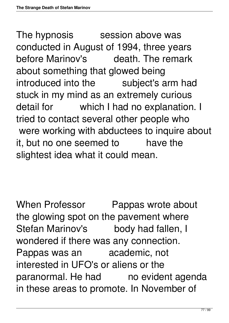The hypnosis session above was conducted in August of 1994, three years before Marinov's death. The remark about something that glowed being introduced into the subject's arm had stuck in my mind as an extremely curious detail for which I had no explanation. I tried to contact several other people who were working with abductees to inquire about it, but no one seemed to have the slightest idea what it could mean.

When Professor Pappas wrote about the glowing spot on the pavement where Stefan Marinov's body had fallen, I wondered if there was any connection. Pappas was an academic, not interested in UFO's or aliens or the paranormal. He had no evident agenda in these areas to promote. In November of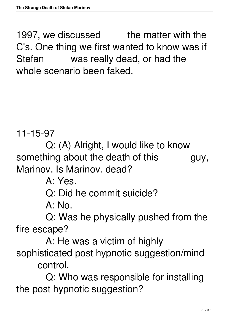1997, we discussed the matter with the C's. One thing we first wanted to know was if Stefan was really dead, or had the whole scenario been faked.

11-15-97

 Q: (A) Alright, I would like to know something about the death of this guy, Marinov. Is Marinov. dead?

A: Yes.

Q: Did he commit suicide?

A: No.

 Q: Was he physically pushed from the fire escape?

 A: He was a victim of highly sophisticated post hypnotic suggestion/mind control.

 Q: Who was responsible for installing the post hypnotic suggestion?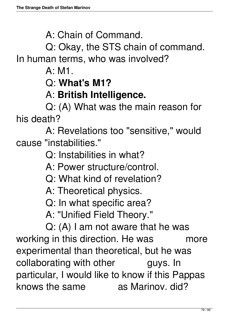A: Chain of Command.

 Q: Okay, the STS chain of command. In human terms, who was involved?

 $A: M1$ 

Q: **What's M1?** 

### A: **British Intelligence.**

 Q: (A) What was the main reason for his death?

 A: Revelations too "sensitive," would cause "instabilities."

Q: Instabilities in what?

- A: Power structure/control.
- Q: What kind of revelation?
- A: Theoretical physics.
- Q: In what specific area?
- A: "Unified Field Theory."

 Q: (A) I am not aware that he was working in this direction. He was more experimental than theoretical, but he was collaborating with other guys. In particular, I would like to know if this Pappas knows the same as Marinov, did?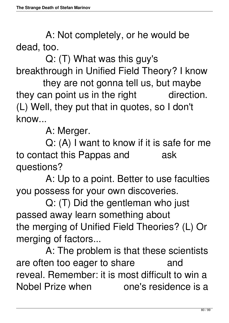A: Not completely, or he would be dead, too.

 Q: (T) What was this guy's breakthrough in Unified Field Theory? I know

 they are not gonna tell us, but maybe they can point us in the right direction. (L) Well, they put that in quotes, so I don't know...

A: Merger.

 Q: (A) I want to know if it is safe for me to contact this Pappas and ask questions?

 A: Up to a point. Better to use faculties you possess for your own discoveries.

 Q: (T) Did the gentleman who just passed away learn something about the merging of Unified Field Theories? (L) Or merging of factors...

 A: The problem is that these scientists are often too eager to share and reveal. Remember: it is most difficult to win a Nobel Prize when one's residence is a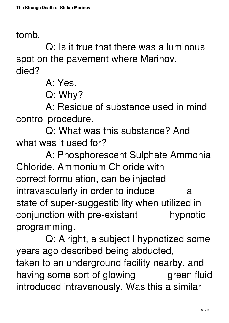### tomb.

 Q: Is it true that there was a luminous spot on the pavement where Marinov. died?

A: Yes.

Q: Why?

 A: Residue of substance used in mind control procedure.

 Q: What was this substance? And what was it used for?

 A: Phosphorescent Sulphate Ammonia Chloride. Ammonium Chloride with correct formulation, can be injected intravascularly in order to induce a state of super-suggestibility when utilized in conjunction with pre-existant hypnotic programming.

 Q: Alright, a subject I hypnotized some years ago described being abducted, taken to an underground facility nearby, and having some sort of glowing green fluid introduced intravenously. Was this a similar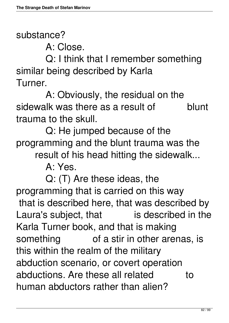substance?

A: Close.

 Q: I think that I remember something similar being described by Karla Turner.

 A: Obviously, the residual on the sidewalk was there as a result of blunt trauma to the skull.

 Q: He jumped because of the programming and the blunt trauma was the

result of his head hitting the sidewalk...

A: Yes.

 Q: (T) Are these ideas, the programming that is carried on this way that is described here, that was described by Laura's subject, that is described in the Karla Turner book, and that is making something of a stir in other arenas, is this within the realm of the military abduction scenario, or covert operation abductions. Are these all related to human abductors rather than alien?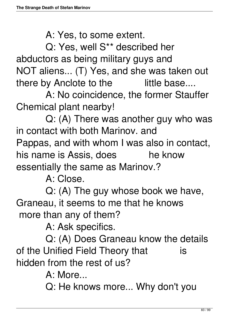A: Yes, to some extent.

 Q: Yes, well S\*\* described her abductors as being military guys and NOT aliens... (T) Yes, and she was taken out there by Anclote to the little base....

 A: No coincidence, the former Stauffer Chemical plant nearby!

 Q: (A) There was another guy who was in contact with both Marinov. and Pappas, and with whom I was also in contact, his name is Assis, does he know essentially the same as Marinov.?

A: Close.

 Q: (A) The guy whose book we have, Graneau, it seems to me that he knows more than any of them?

A: Ask specifics.

 Q: (A) Does Graneau know the details of the Unified Field Theory that is hidden from the rest of us?

A: More...

Q: He knows more... Why don't you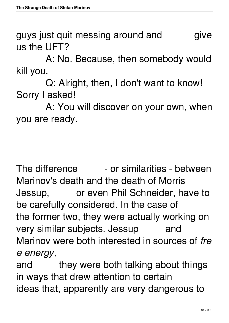guys just quit messing around and give us the UFT?

 A: No. Because, then somebody would kill you.

 Q: Alright, then, I don't want to know! Sorry I asked!

 A: You will discover on your own, when you are ready.

The difference  $\qquad$  - or similarities - between Marinov's death and the death of Morris Jessup, or even Phil Schneider, have to be carefully considered. In the case of the former two, they were actually working on very similar subjects. Jessup and Marinov were both interested in sources of *fre e energy,*

and they were both talking about things in ways that drew attention to certain ideas that, apparently are very dangerous to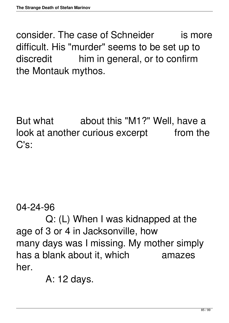consider. The case of Schneider is more difficult. His "murder" seems to be set up to discredit him in general, or to confirm the Montauk mythos.

But what about this "M1?" Well, have a look at another curious excerpt from the C's:

04-24-96

 Q: (L) When I was kidnapped at the age of 3 or 4 in Jacksonville, how many days was I missing. My mother simply has a blank about it, which amazes her.

A: 12 days.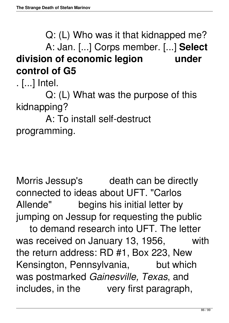Q: (L) Who was it that kidnapped me? A: Jan. [...] Corps member. [...] **Select division of economic legion under control of G5**

. [...] Intel.

 Q: (L) What was the purpose of this kidnapping?

 A: To install self-destruct programming.

Morris Jessup's death can be directly connected to ideas about UFT. "Carlos Allende" begins his initial letter by jumping on Jessup for requesting the public

 to demand research into UFT. The letter was received on January 13, 1956, with the return address: RD #1, Box 223, New Kensington, Pennsylvania, but which was postmarked *Gainesville, Texas*, and includes, in the very first paragraph,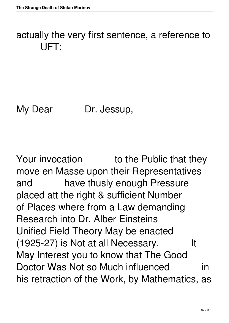## actually the very first sentence, a reference to UFT:

My Dear Dr. Jessup,

Your invocation to the Public that they move en Masse upon their Representatives and have thusly enough Pressure placed att the right & sufficient Number of Places where from a Law demanding Research into Dr. Alber Einsteins Unified Field Theory May be enacted (1925-27) is Not at all Necessary. It May Interest you to know that The Good Doctor Was Not so Much influenced in his retraction of the Work, by Mathematics, as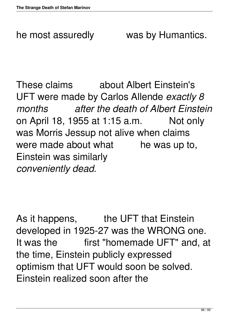he most assuredly was by Humantics.

These claims about Albert Einstein's UFT were made by Carlos Allende *exactly 8 months after the death of Albert Einstein* on April 18, 1955 at 1:15 a.m. Not only was Morris Jessup not alive when claims were made about what he was up to, Einstein was similarly *conveniently dead.*

As it happens, the UFT that Einstein developed in 1925-27 was the WRONG one. It was the first "homemade UFT" and, at the time, Einstein publicly expressed optimism that UFT would soon be solved. Einstein realized soon after the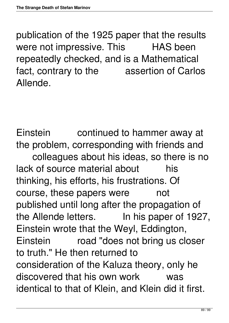publication of the 1925 paper that the results were not impressive. This HAS been repeatedly checked, and is a Mathematical fact, contrary to the assertion of Carlos Allende.

Einstein continued to hammer away at the problem, corresponding with friends and colleagues about his ideas, so there is no lack of source material about his thinking, his efforts, his frustrations. Of course, these papers were mot published until long after the propagation of the Allende letters. In his paper of 1927, Einstein wrote that the Weyl, Eddington, Einstein road "does not bring us closer to truth." He then returned to consideration of the Kaluza theory, only he discovered that his own work was identical to that of Klein, and Klein did it first.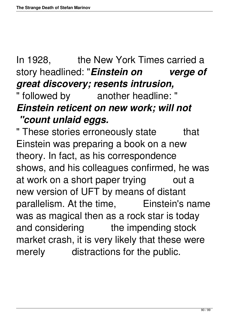# In 1928, the New York Times carried a story headlined: "*Einstein on verge of great discovery; resents intrusion,*

## " followed by another headline: " *Einstein reticent on new work; will not "count unlaid eggs.*

" These stories erroneously state that Einstein was preparing a book on a new theory. In fact, as his correspondence shows, and his colleagues confirmed, he was at work on a short paper trying out a new version of UFT by means of distant parallelism. At the time, Einstein's name was as magical then as a rock star is today and considering the impending stock market crash, it is very likely that these were merely distractions for the public.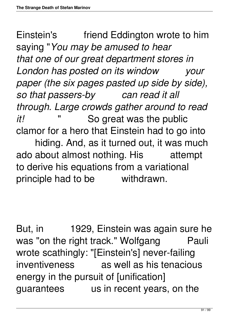Einstein's friend Eddington wrote to him saying "*You may be amused to hear that one of our great department stores in London has posted on its window your paper (the six pages pasted up side by side), so that passers-by can read it all through. Large crowds gather around to read it!* " So great was the public clamor for a hero that Einstein had to go into hiding. And, as it turned out, it was much ado about almost nothing. His attempt to derive his equations from a variational principle had to be withdrawn.

But, in 1929, Einstein was again sure he was "on the right track." Wolfgang Pauli wrote scathingly: "[Einstein's] never-failing inventiveness as well as his tenacious energy in the pursuit of [unification] guarantees us in recent years, on the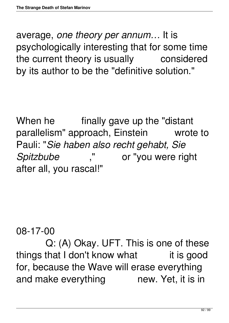average, *one theory per annum…* It is psychologically interesting that for some time the current theory is usually considered by its author to be the "definitive solution."

When he finally gave up the "distant" parallelism" approach, Einstein wrote to Pauli: "*Sie haben also recht gehabt, Sie Spitzbube* ," or "you were right after all, you rascal!"

08-17-00

 Q: (A) Okay. UFT. This is one of these things that I don't know what it is good for, because the Wave will erase everything and make everything mew. Yet, it is in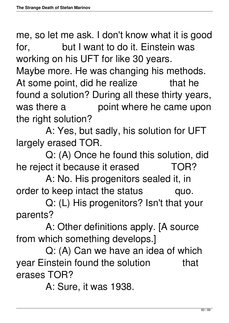me, so let me ask. I don't know what it is good for, but I want to do it. Einstein was working on his UFT for like 30 years. Maybe more. He was changing his methods. At some point, did he realize that he found a solution? During all these thirty years, was there a boint where he came upon the right solution?

 A: Yes, but sadly, his solution for UFT largely erased TOR.

 Q: (A) Once he found this solution, did he reject it because it erased TOR?

 A: No. His progenitors sealed it, in order to keep intact the status quo.

 Q: (L) His progenitors? Isn't that your parents?

 A: Other definitions apply. [A source from which something develops.]

 Q: (A) Can we have an idea of which year Einstein found the solution that erases TOR?

A: Sure, it was 1938.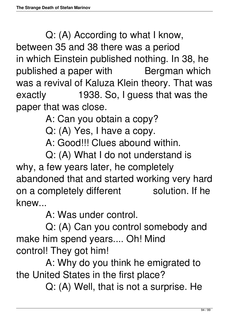Q: (A) According to what I know, between 35 and 38 there was a period in which Einstein published nothing. In 38, he published a paper with Bergman which was a revival of Kaluza Klein theory. That was exactly 1938. So, I guess that was the paper that was close.

A: Can you obtain a copy?

Q: (A) Yes, I have a copy.

A: Good!!! Clues abound within.

 Q: (A) What I do not understand is why, a few years later, he completely abandoned that and started working very hard on a completely different solution. If he knew...

A: Was under control.

 Q: (A) Can you control somebody and make him spend years.... Oh! Mind control! They got him!

 A: Why do you think he emigrated to the United States in the first place?

Q: (A) Well, that is not a surprise. He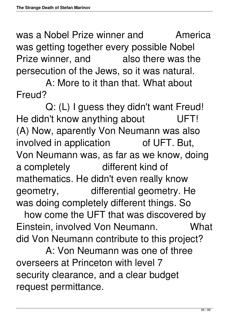was a Nobel Prize winner and **America** was getting together every possible Nobel Prize winner, and also there was the persecution of the Jews, so it was natural.

 A: More to it than that. What about Freud?

 Q: (L) I guess they didn't want Freud! He didn't know anything about UFT! (A) Now, aparently Von Neumann was also involved in application of UFT. But, Von Neumann was, as far as we know, doing a completely different kind of mathematics. He didn't even really know geometry, differential geometry. He was doing completely different things. So

 how come the UFT that was discovered by Einstein, involved Von Neumann. What did Von Neumann contribute to this project?

 A: Von Neumann was one of three overseers at Princeton with level 7 security clearance, and a clear budget request permittance.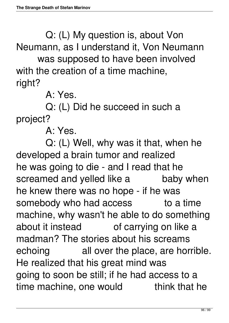Q: (L) My question is, about Von Neumann, as I understand it, Von Neumann

 was supposed to have been involved with the creation of a time machine, right?

A: Yes.

 Q: (L) Did he succeed in such a project?

A: Yes.

 Q: (L) Well, why was it that, when he developed a brain tumor and realized he was going to die - and I read that he screamed and yelled like a baby when he knew there was no hope - if he was somebody who had access to a time machine, why wasn't he able to do something about it instead of carrying on like a madman? The stories about his screams echoing all over the place, are horrible. He realized that his great mind was going to soon be still; if he had access to a time machine, one would think that he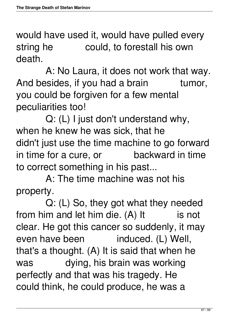would have used it, would have pulled every string he could, to forestall his own death.

 A: No Laura, it does not work that way. And besides, if you had a brain tumor, you could be forgiven for a few mental peculiarities too!

 Q: (L) I just don't understand why, when he knew he was sick, that he didn't just use the time machine to go forward in time for a cure, or backward in time to correct something in his past...

 A: The time machine was not his property.

 Q: (L) So, they got what they needed from him and let him die.  $(A)$  It is not clear. He got this cancer so suddenly, it may even have been induced. (L) Well, that's a thought. (A) It is said that when he was dying, his brain was working perfectly and that was his tragedy. He could think, he could produce, he was a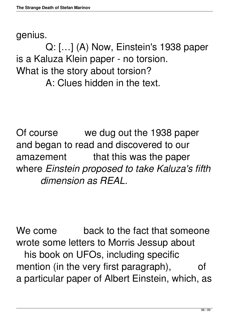#### genius.

 Q: […] (A) Now, Einstein's 1938 paper is a Kaluza Klein paper - no torsion. What is the story about torsion? A: Clues hidden in the text.

Of course we dug out the 1938 paper and began to read and discovered to our amazement that this was the paper where *Einstein proposed to take Kaluza's fifth dimension as REAL.*

We come back to the fact that someone wrote some letters to Morris Jessup about his book on UFOs, including specific mention (in the very first paragraph), of a particular paper of Albert Einstein, which, as